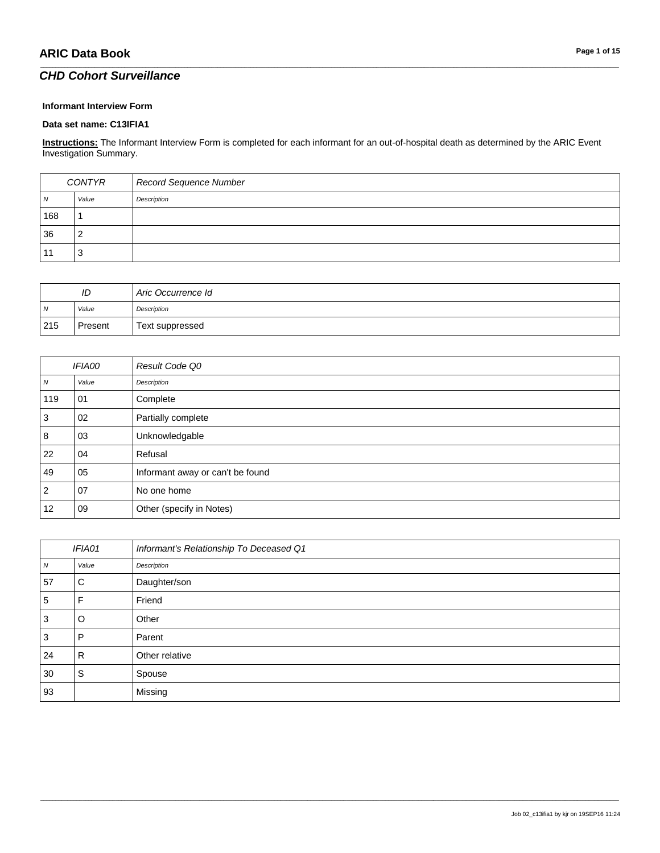### *CHD Cohort Surveillance*

#### **Informant Interview Form**

#### **Data set name: C13IFIA1**

**Instructions:** The Informant Interview Form is completed for each informant for an out-of-hospital death as determined by the ARIC Event Investigation Summary.

\_\_\_\_\_\_\_\_\_\_\_\_\_\_\_\_\_\_\_\_\_\_\_\_\_\_\_\_\_\_\_\_\_\_\_\_\_\_\_\_\_\_\_\_\_\_\_\_\_\_\_\_\_\_\_\_\_\_\_\_\_\_\_\_\_\_\_\_\_\_\_\_\_\_\_\_\_\_\_\_\_\_\_\_\_\_\_\_\_\_\_\_\_\_\_\_\_\_\_\_\_\_\_\_\_\_\_\_\_\_\_\_\_\_\_\_\_\_\_\_\_\_\_\_\_\_\_\_\_\_\_\_\_\_\_\_\_\_\_\_\_\_\_\_\_\_\_\_\_\_\_\_\_\_\_\_\_\_\_\_\_\_\_\_\_\_\_\_\_\_\_\_\_\_\_\_\_\_\_\_\_\_\_\_\_\_\_\_\_\_\_\_\_

| CONTYR |       | Record Sequence Number |
|--------|-------|------------------------|
| N      | Value | Description            |
| 168    |       |                        |
| 36     |       |                        |
|        | ×.    |                        |

| ID             |         | Aric Occurrence Id |
|----------------|---------|--------------------|
| $\overline{N}$ | Value   | Description        |
| 215            | Present | Text suppressed    |

|                  | <b>IFIA00</b> | Result Code Q0                   |
|------------------|---------------|----------------------------------|
| $\boldsymbol{N}$ | Value         | Description                      |
| 119              | 01            | Complete                         |
| 3                | 02            | Partially complete               |
| 8                | 03            | Unknowledgable                   |
| 22               | 04            | Refusal                          |
| 49               | 05            | Informant away or can't be found |
| $\overline{2}$   | 07            | No one home                      |
| 12               | 09            | Other (specify in Notes)         |

| IFIA01           |       | Informant's Relationship To Deceased Q1 |
|------------------|-------|-----------------------------------------|
| $\boldsymbol{N}$ | Value | Description                             |
| 57               | С     | Daughter/son                            |
| 5                | F     | Friend                                  |
| 3                | O     | Other                                   |
| 3                | P     | Parent                                  |
| 24               | R     | Other relative                          |
| 30               | S     | Spouse                                  |
| 93               |       | Missing                                 |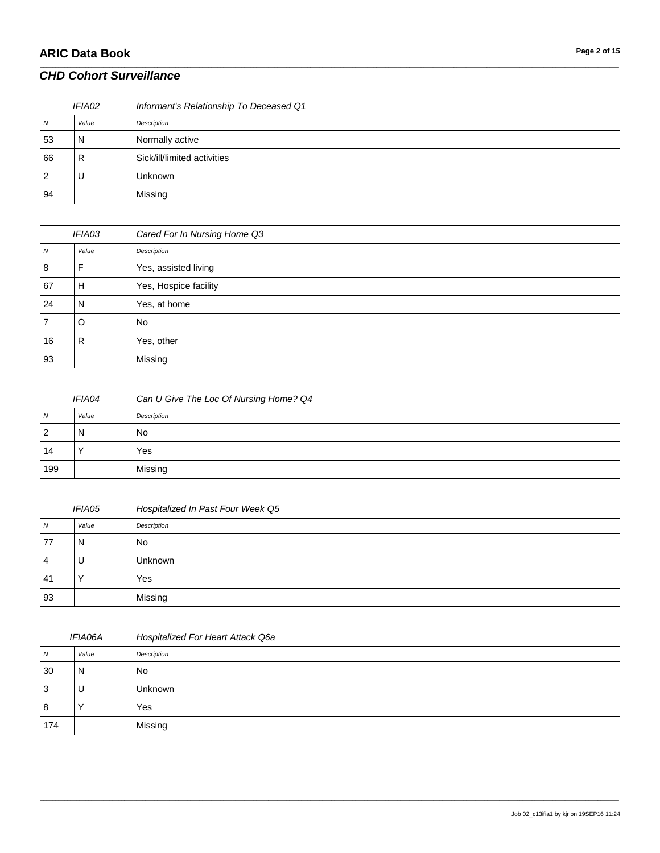# **ARIC Data Book Page 2 of 15**

### *CHD Cohort Surveillance*

| IFIA02 |       | Informant's Relationship To Deceased Q1 |
|--------|-------|-----------------------------------------|
| 7V     | Value | Description                             |
| 53     | N     | Normally active                         |
| 66     | R     | Sick/ill/limited activities             |
| 2      | U     | <b>Unknown</b>                          |
| 94     |       | Missing                                 |

\_\_\_\_\_\_\_\_\_\_\_\_\_\_\_\_\_\_\_\_\_\_\_\_\_\_\_\_\_\_\_\_\_\_\_\_\_\_\_\_\_\_\_\_\_\_\_\_\_\_\_\_\_\_\_\_\_\_\_\_\_\_\_\_\_\_\_\_\_\_\_\_\_\_\_\_\_\_\_\_\_\_\_\_\_\_\_\_\_\_\_\_\_\_\_\_\_\_\_\_\_\_\_\_\_\_\_\_\_\_\_\_\_\_\_\_\_\_\_\_\_\_\_\_\_\_\_\_\_\_\_\_\_\_\_\_\_\_\_\_\_\_\_\_\_\_\_\_\_\_\_\_\_\_\_\_\_\_\_\_\_\_\_\_\_\_\_\_\_\_\_\_\_\_\_\_\_\_\_\_\_\_\_\_\_\_\_\_\_\_\_\_\_

| IFIA03 |       | Cared For In Nursing Home Q3 |
|--------|-------|------------------------------|
| N      | Value | Description                  |
| 8      | F     | Yes, assisted living         |
| 67     | н     | Yes, Hospice facility        |
| 24     | N     | Yes, at home                 |
| 7      | O     | <b>No</b>                    |
| 16     | R     | Yes, other                   |
| 93     |       | Missing                      |

| IFIA04         |       | Can U Give The Loc Of Nursing Home? Q4 |
|----------------|-------|----------------------------------------|
| $\overline{N}$ | Value | Description                            |
| 2              | N     | No                                     |
| 14             |       | Yes                                    |
| 199            |       | Missing                                |

| IFIA05 |       | Hospitalized In Past Four Week Q5 |
|--------|-------|-----------------------------------|
| N      | Value | Description                       |
| 77     | N     | <b>No</b>                         |
| 4      | U     | Unknown                           |
| 41     |       | Yes                               |
| 93     |       | Missing                           |

| IFIA06A |         | Hospitalized For Heart Attack Q6a |
|---------|---------|-----------------------------------|
| N       | Value   | Description                       |
| 30      | N       | <b>No</b>                         |
| 3       | U       | Unknown                           |
| 8       | $\cdot$ | Yes                               |
| 174     |         | Missing                           |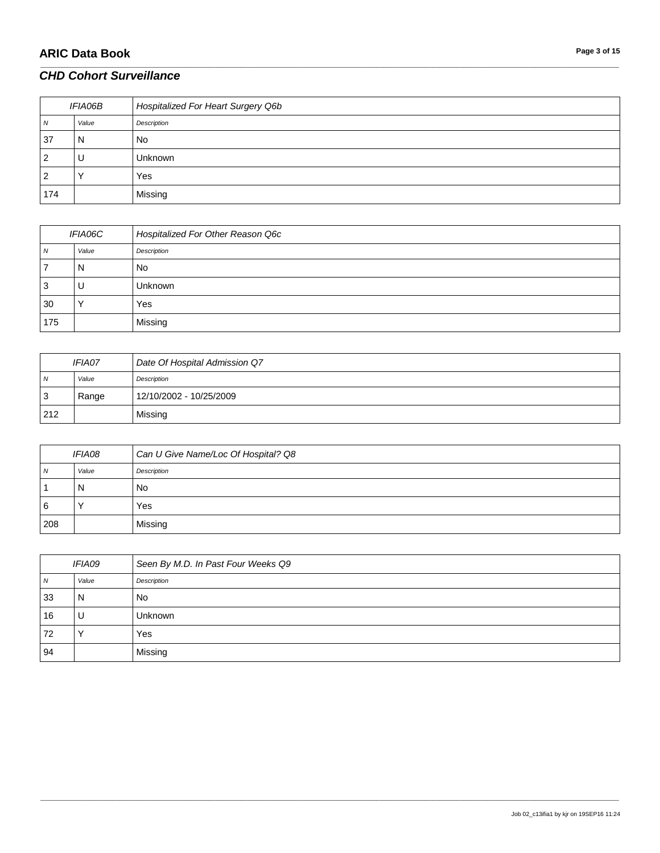# **ARIC Data Book Page 3 of 15**

#### *CHD Cohort Surveillance*

| <i>IFIA06B</i> |       | Hospitalized For Heart Surgery Q6b |
|----------------|-------|------------------------------------|
| N              | Value | Description                        |
| 37             | N     | <b>No</b>                          |
| $\overline{2}$ | υ     | Unknown                            |
| 2              |       | Yes                                |
| 174            |       | Missing                            |

\_\_\_\_\_\_\_\_\_\_\_\_\_\_\_\_\_\_\_\_\_\_\_\_\_\_\_\_\_\_\_\_\_\_\_\_\_\_\_\_\_\_\_\_\_\_\_\_\_\_\_\_\_\_\_\_\_\_\_\_\_\_\_\_\_\_\_\_\_\_\_\_\_\_\_\_\_\_\_\_\_\_\_\_\_\_\_\_\_\_\_\_\_\_\_\_\_\_\_\_\_\_\_\_\_\_\_\_\_\_\_\_\_\_\_\_\_\_\_\_\_\_\_\_\_\_\_\_\_\_\_\_\_\_\_\_\_\_\_\_\_\_\_\_\_\_\_\_\_\_\_\_\_\_\_\_\_\_\_\_\_\_\_\_\_\_\_\_\_\_\_\_\_\_\_\_\_\_\_\_\_\_\_\_\_\_\_\_\_\_\_\_\_

| IFIA06C |                      | Hospitalized For Other Reason Q6c |
|---------|----------------------|-----------------------------------|
| N       | Value                | Description                       |
|         | N                    | No                                |
| 3       | U                    | <b>Unknown</b>                    |
| 30      | $\ddot{\phantom{1}}$ | Yes                               |
| 175     |                      | Missing                           |

| <i><b>IFIA07</b></i> |       | Date Of Hospital Admission Q7 |
|----------------------|-------|-------------------------------|
| . N                  | Value | Description                   |
| -3                   | Range | 12/10/2002 - 10/25/2009       |
| 212                  |       | Missing                       |

| <i><b>IFIA08</b></i> |       | Can U Give Name/Loc Of Hospital? Q8 |
|----------------------|-------|-------------------------------------|
| N                    | Value | Description                         |
|                      | N     | No                                  |
| l 6                  |       | Yes                                 |
| 208                  |       | Missing                             |

| IFIA09 |       | Seen By M.D. In Past Four Weeks Q9 |
|--------|-------|------------------------------------|
| N      | Value | Description                        |
| 33     | N     | <b>No</b>                          |
| 16     | U     | <b>Unknown</b>                     |
| 72     |       | Yes                                |
| 94     |       | Missing                            |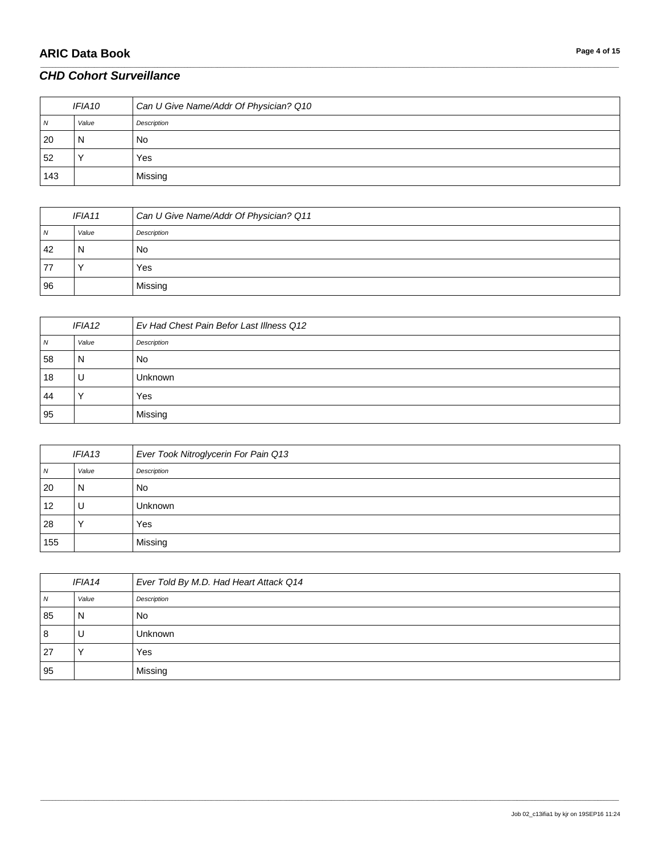# **ARIC Data Book Page 4 of 15**

### *CHD Cohort Surveillance*

| IFIA10         |       | Can U Give Name/Addr Of Physician? Q10 |
|----------------|-------|----------------------------------------|
| $\overline{N}$ | Value | Description                            |
| -20            | N     | No.                                    |
| 52             |       | Yes                                    |
| 143            |       | Missing                                |

\_\_\_\_\_\_\_\_\_\_\_\_\_\_\_\_\_\_\_\_\_\_\_\_\_\_\_\_\_\_\_\_\_\_\_\_\_\_\_\_\_\_\_\_\_\_\_\_\_\_\_\_\_\_\_\_\_\_\_\_\_\_\_\_\_\_\_\_\_\_\_\_\_\_\_\_\_\_\_\_\_\_\_\_\_\_\_\_\_\_\_\_\_\_\_\_\_\_\_\_\_\_\_\_\_\_\_\_\_\_\_\_\_\_\_\_\_\_\_\_\_\_\_\_\_\_\_\_\_\_\_\_\_\_\_\_\_\_\_\_\_\_\_\_\_\_\_\_\_\_\_\_\_\_\_\_\_\_\_\_\_\_\_\_\_\_\_\_\_\_\_\_\_\_\_\_\_\_\_\_\_\_\_\_\_\_\_\_\_\_\_\_\_

| IFIA11 |       | Can U Give Name/Addr Of Physician? Q11 |
|--------|-------|----------------------------------------|
| N      | Value | Description                            |
| 42     | N     | No                                     |
| 77     |       | Yes                                    |
| 96     |       | Missing                                |

| IFIA <sub>12</sub> |       | Ev Had Chest Pain Befor Last Illness Q12 |
|--------------------|-------|------------------------------------------|
| 7V                 | Value | Description                              |
| 58                 | N     | No                                       |
| 18                 | U     | Unknown                                  |
| 44                 |       | Yes                                      |
| 95                 |       | Missing                                  |

| IFIA13 |       | Ever Took Nitroglycerin For Pain Q13 |
|--------|-------|--------------------------------------|
| N      | Value | Description                          |
| 20     | N     | <b>No</b>                            |
| 12     | U     | <b>Unknown</b>                       |
| 28     |       | Yes                                  |
| 155    |       | Missing                              |

| IFIA14 |       | Ever Told By M.D. Had Heart Attack Q14 |
|--------|-------|----------------------------------------|
| N      | Value | Description                            |
| 85     | N     | <b>No</b>                              |
| 8      | U     | <b>Unknown</b>                         |
| 27     |       | Yes                                    |
| 95     |       | Missing                                |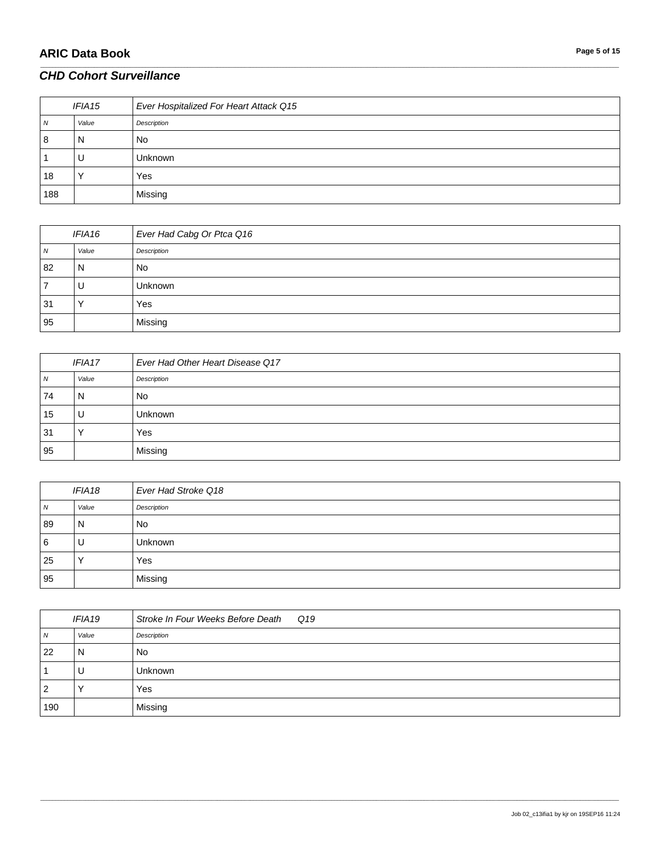# **ARIC Data Book Page 5 of 15**

#### *CHD Cohort Surveillance*

| IFIA <sub>15</sub> |       | Ever Hospitalized For Heart Attack Q15 |
|--------------------|-------|----------------------------------------|
| N                  | Value | Description                            |
| 8                  | N     | <b>No</b>                              |
|                    | U     | <b>Unknown</b>                         |
| 18                 |       | Yes                                    |
| 188                |       | Missing                                |

\_\_\_\_\_\_\_\_\_\_\_\_\_\_\_\_\_\_\_\_\_\_\_\_\_\_\_\_\_\_\_\_\_\_\_\_\_\_\_\_\_\_\_\_\_\_\_\_\_\_\_\_\_\_\_\_\_\_\_\_\_\_\_\_\_\_\_\_\_\_\_\_\_\_\_\_\_\_\_\_\_\_\_\_\_\_\_\_\_\_\_\_\_\_\_\_\_\_\_\_\_\_\_\_\_\_\_\_\_\_\_\_\_\_\_\_\_\_\_\_\_\_\_\_\_\_\_\_\_\_\_\_\_\_\_\_\_\_\_\_\_\_\_\_\_\_\_\_\_\_\_\_\_\_\_\_\_\_\_\_\_\_\_\_\_\_\_\_\_\_\_\_\_\_\_\_\_\_\_\_\_\_\_\_\_\_\_\_\_\_\_\_\_

| IFIA16 |         | Ever Had Cabg Or Ptca Q16 |
|--------|---------|---------------------------|
| N      | Value   | Description               |
| 82     | N       | <b>No</b>                 |
|        | U       | <b>Unknown</b>            |
| 31     | $\cdot$ | Yes                       |
| 95     |         | Missing                   |

| IFIA17 |       | Ever Had Other Heart Disease Q17 |
|--------|-------|----------------------------------|
| N      | Value | Description                      |
| 74     | N     | <b>No</b>                        |
| 15     | υ     | <b>Unknown</b>                   |
| 31     |       | Yes                              |
| 95     |       | Missing                          |

| IFIA18         |       | Ever Had Stroke Q18 |
|----------------|-------|---------------------|
| $\overline{N}$ | Value | Description         |
| 89             | N     | <b>No</b>           |
| <sup>6</sup>   |       | Unknown             |
| 25             |       | Yes                 |
| 95             |       | Missing             |

| IFIA <sub>19</sub> |       | Stroke In Four Weeks Before Death Q19 |
|--------------------|-------|---------------------------------------|
| N                  | Value | Description                           |
| 22                 | N     | <b>No</b>                             |
|                    | U     | <b>Unknown</b>                        |
| 2                  |       | Yes                                   |
| 190                |       | Missing                               |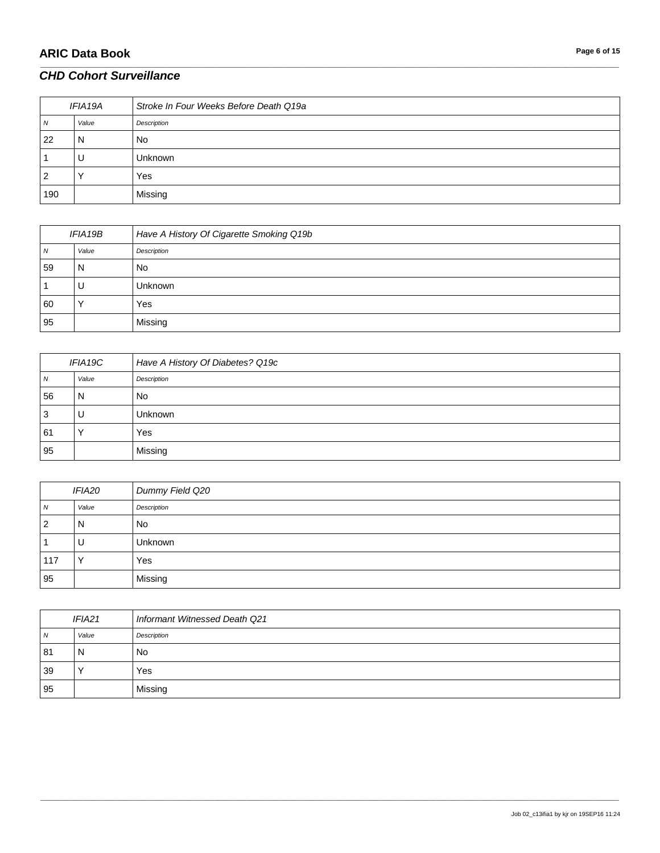# **ARIC Data Book Page 6 of 15**

#### *CHD Cohort Surveillance*

| IFIA19A |       | Stroke In Four Weeks Before Death Q19a |
|---------|-------|----------------------------------------|
| N       | Value | Description                            |
| 22      | N     | <b>No</b>                              |
|         | U     | <b>Unknown</b>                         |
| 2       |       | Yes                                    |
| 190     |       | Missing                                |

\_\_\_\_\_\_\_\_\_\_\_\_\_\_\_\_\_\_\_\_\_\_\_\_\_\_\_\_\_\_\_\_\_\_\_\_\_\_\_\_\_\_\_\_\_\_\_\_\_\_\_\_\_\_\_\_\_\_\_\_\_\_\_\_\_\_\_\_\_\_\_\_\_\_\_\_\_\_\_\_\_\_\_\_\_\_\_\_\_\_\_\_\_\_\_\_\_\_\_\_\_\_\_\_\_\_\_\_\_\_\_\_\_\_\_\_\_\_\_\_\_\_\_\_\_\_\_\_\_\_\_\_\_\_\_\_\_\_\_\_\_\_\_\_\_\_\_\_\_\_\_\_\_\_\_\_\_\_\_\_\_\_\_\_\_\_\_\_\_\_\_\_\_\_\_\_\_\_\_\_\_\_\_\_\_\_\_\_\_\_\_\_\_

| IFIA19B |           | Have A History Of Cigarette Smoking Q19b |
|---------|-----------|------------------------------------------|
| N       | Value     | Description                              |
| 59      | N         | No                                       |
|         | υ         | <b>Unknown</b>                           |
| 60      | $\lambda$ | Yes                                      |
| 95      |           | Missing                                  |

| IFIA19C |       | Have A History Of Diabetes? Q19c |
|---------|-------|----------------------------------|
| 7V      | Value | Description                      |
| 56      | N     | No                               |
| J       | U     | Unknown                          |
| 61      |       | Yes                              |
| 95      |       | Missing                          |

| <i><b>IFIA20</b></i> |       | Dummy Field Q20 |
|----------------------|-------|-----------------|
| $\overline{N}$       | Value | Description     |
| <u>  2</u>           | N     | <b>No</b>       |
|                      | U     | <b>Unknown</b>  |
| 117                  |       | Yes             |
| 95                   |       | Missing         |

| IFIA <sub>21</sub> |       | Informant Witnessed Death Q21 |
|--------------------|-------|-------------------------------|
| $\overline{N}$     | Value | Description                   |
| 81                 | N     | No                            |
| 39                 |       | Yes                           |
| 95                 |       | Missing                       |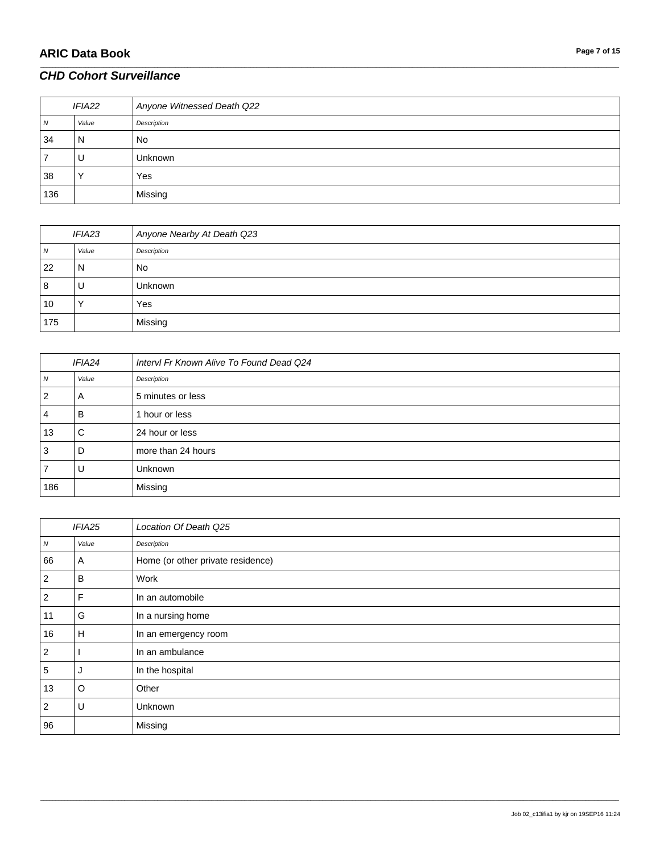### *CHD Cohort Surveillance*

| IFIA22 |       | Anyone Witnessed Death Q22 |
|--------|-------|----------------------------|
| N      | Value | Description                |
| 34     | N     | <b>No</b>                  |
|        | U     | Unknown                    |
| 38     |       | Yes                        |
| 136    |       | Missing                    |

\_\_\_\_\_\_\_\_\_\_\_\_\_\_\_\_\_\_\_\_\_\_\_\_\_\_\_\_\_\_\_\_\_\_\_\_\_\_\_\_\_\_\_\_\_\_\_\_\_\_\_\_\_\_\_\_\_\_\_\_\_\_\_\_\_\_\_\_\_\_\_\_\_\_\_\_\_\_\_\_\_\_\_\_\_\_\_\_\_\_\_\_\_\_\_\_\_\_\_\_\_\_\_\_\_\_\_\_\_\_\_\_\_\_\_\_\_\_\_\_\_\_\_\_\_\_\_\_\_\_\_\_\_\_\_\_\_\_\_\_\_\_\_\_\_\_\_\_\_\_\_\_\_\_\_\_\_\_\_\_\_\_\_\_\_\_\_\_\_\_\_\_\_\_\_\_\_\_\_\_\_\_\_\_\_\_\_\_\_\_\_\_\_

| <b>IFIA23</b> |       | Anyone Nearby At Death Q23 |
|---------------|-------|----------------------------|
| <sub>N</sub>  | Value | Description                |
| 22            | N     | <b>No</b>                  |
| 8             | U     | <b>Unknown</b>             |
| 10            |       | Yes                        |
| 175           |       | Missing                    |

| <b>IFIA24</b> |       | Intervl Fr Known Alive To Found Dead Q24 |
|---------------|-------|------------------------------------------|
| N             | Value | Description                              |
| 2             | A     | 5 minutes or less                        |
| 4             | B     | 1 hour or less                           |
| 13            | C     | 24 hour or less                          |
| 3             | D     | more than 24 hours                       |
|               | U     | Unknown                                  |
| 186           |       | Missing                                  |

|                | IFIA25 | Location Of Death Q25             |
|----------------|--------|-----------------------------------|
| ${\cal N}$     | Value  | Description                       |
| 66             | A      | Home (or other private residence) |
| 2              | в      | Work                              |
| $\overline{2}$ | F      | In an automobile                  |
| 11             | G      | In a nursing home                 |
| 16             | H      | In an emergency room              |
| $\overline{2}$ |        | In an ambulance                   |
| 5              | J      | In the hospital                   |
| 13             | O      | Other                             |
| $\overline{2}$ | U      | Unknown                           |
| 96             |        | Missing                           |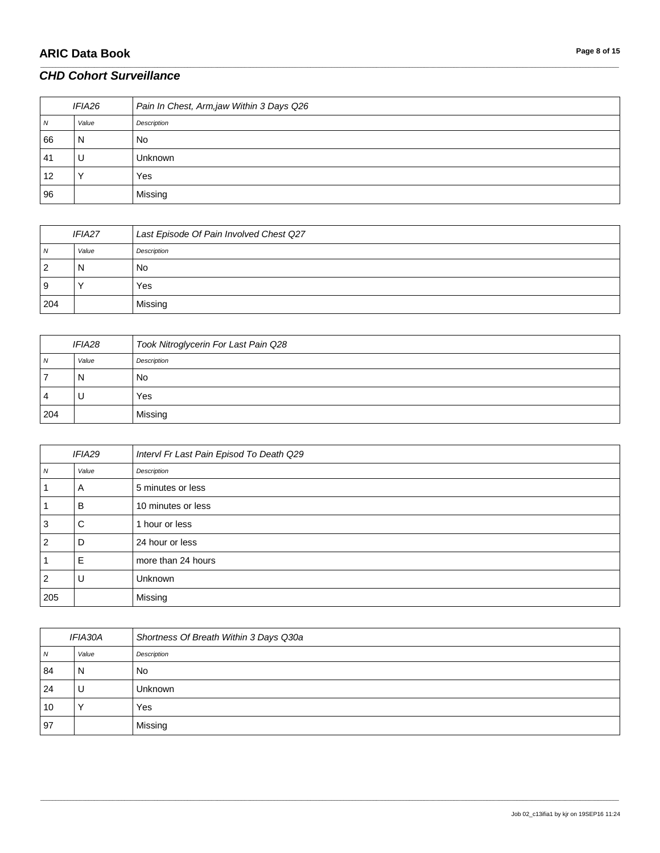# **ARIC Data Book Page 8 of 15**

#### *CHD Cohort Surveillance*

| IFIA26 |       | Pain In Chest, Arm,jaw Within 3 Days Q26 |
|--------|-------|------------------------------------------|
| N      | Value | Description                              |
| 66     | N     | <b>No</b>                                |
| 41     | U     | <b>Unknown</b>                           |
| 12     |       | Yes                                      |
| 96     |       | Missing                                  |

\_\_\_\_\_\_\_\_\_\_\_\_\_\_\_\_\_\_\_\_\_\_\_\_\_\_\_\_\_\_\_\_\_\_\_\_\_\_\_\_\_\_\_\_\_\_\_\_\_\_\_\_\_\_\_\_\_\_\_\_\_\_\_\_\_\_\_\_\_\_\_\_\_\_\_\_\_\_\_\_\_\_\_\_\_\_\_\_\_\_\_\_\_\_\_\_\_\_\_\_\_\_\_\_\_\_\_\_\_\_\_\_\_\_\_\_\_\_\_\_\_\_\_\_\_\_\_\_\_\_\_\_\_\_\_\_\_\_\_\_\_\_\_\_\_\_\_\_\_\_\_\_\_\_\_\_\_\_\_\_\_\_\_\_\_\_\_\_\_\_\_\_\_\_\_\_\_\_\_\_\_\_\_\_\_\_\_\_\_\_\_\_\_

| <b>IFIA27</b> |       | Last Episode Of Pain Involved Chest Q27 |
|---------------|-------|-----------------------------------------|
| N             | Value | Description                             |
| 2             | N     | No                                      |
| 9             |       | Yes                                     |
| 204           |       | Missing                                 |

| <b>IFIA28</b> |       | Took Nitroglycerin For Last Pain Q28 |
|---------------|-------|--------------------------------------|
| N             | Value | Description                          |
|               | N     | No                                   |
| 4             | U     | Yes                                  |
| 204           |       | Missing                              |

| IFIA29         |       | Intervl Fr Last Pain Episod To Death Q29 |
|----------------|-------|------------------------------------------|
| $\overline{N}$ | Value | Description                              |
|                | A     | 5 minutes or less                        |
|                | B     | 10 minutes or less                       |
| 3              | C     | hour or less                             |
| $\overline{2}$ | D     | 24 hour or less                          |
|                | E     | more than 24 hours                       |
| $\overline{2}$ | U     | Unknown                                  |
| 205            |       | Missing                                  |

| IFIA30A |       | Shortness Of Breath Within 3 Days Q30a |
|---------|-------|----------------------------------------|
| N       | Value | Description                            |
| 84      | N     | <b>No</b>                              |
| 24      | U     | <b>Unknown</b>                         |
| 10      |       | Yes                                    |
| 97      |       | Missing                                |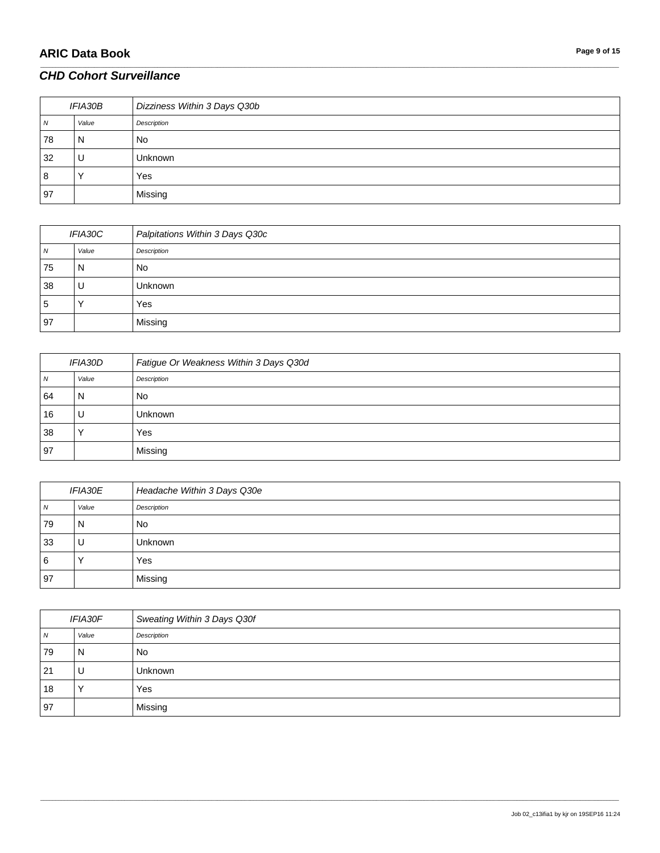### *CHD Cohort Surveillance*

| <i>IFIA30B</i> |       | Dizziness Within 3 Days Q30b |
|----------------|-------|------------------------------|
| N              | Value | Description                  |
| 78             | N     | <b>No</b>                    |
| 32             | U     | <b>Unknown</b>               |
| 8              |       | Yes                          |
| 97             |       | Missing                      |

\_\_\_\_\_\_\_\_\_\_\_\_\_\_\_\_\_\_\_\_\_\_\_\_\_\_\_\_\_\_\_\_\_\_\_\_\_\_\_\_\_\_\_\_\_\_\_\_\_\_\_\_\_\_\_\_\_\_\_\_\_\_\_\_\_\_\_\_\_\_\_\_\_\_\_\_\_\_\_\_\_\_\_\_\_\_\_\_\_\_\_\_\_\_\_\_\_\_\_\_\_\_\_\_\_\_\_\_\_\_\_\_\_\_\_\_\_\_\_\_\_\_\_\_\_\_\_\_\_\_\_\_\_\_\_\_\_\_\_\_\_\_\_\_\_\_\_\_\_\_\_\_\_\_\_\_\_\_\_\_\_\_\_\_\_\_\_\_\_\_\_\_\_\_\_\_\_\_\_\_\_\_\_\_\_\_\_\_\_\_\_\_\_

| IFIA30C |       | Palpitations Within 3 Days Q30c |
|---------|-------|---------------------------------|
| N       | Value | Description                     |
| 75      | N     | <b>No</b>                       |
| 38      | U     | Unknown                         |
| 5       |       | Yes                             |
| 97      |       | Missing                         |

| <i>IFIA30D</i> |       | Fatigue Or Weakness Within 3 Days Q30d |
|----------------|-------|----------------------------------------|
| 7V             | Value | Description                            |
| 64             | N     | No                                     |
| 16             | U     | Unknown                                |
| 38             |       | Yes                                    |
| 97             |       | Missing                                |

| <b>IFIA30E</b> |       | Headache Within 3 Days Q30e |
|----------------|-------|-----------------------------|
| $\overline{N}$ | Value | Description                 |
| 79             | N     | <b>No</b>                   |
| 33             |       | <b>Unknown</b>              |
| 6              |       | Yes                         |
| 97             |       | Missing                     |

| <i><b>IFIA30F</b></i> |                      | Sweating Within 3 Days Q30f |
|-----------------------|----------------------|-----------------------------|
| N                     | Value                | Description                 |
| 79                    | N                    | <b>No</b>                   |
| 21                    | U                    | <b>Unknown</b>              |
| 18                    | $\ddot{\phantom{1}}$ | Yes                         |
| 97                    |                      | Missing                     |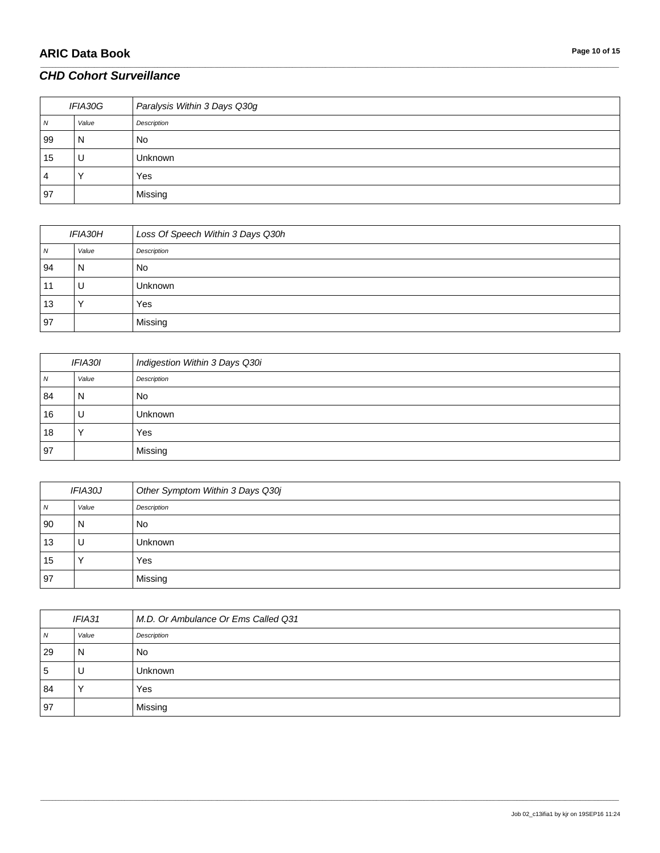# **ARIC Data Book Page 10 of 15**

### *CHD Cohort Surveillance*

| IFIA30G |       | Paralysis Within 3 Days Q30g |
|---------|-------|------------------------------|
| N       | Value | Description                  |
| 99      | N     | <b>No</b>                    |
| 15      | U     | <b>Unknown</b>               |
| 4       |       | Yes                          |
| 97      |       | Missing                      |

\_\_\_\_\_\_\_\_\_\_\_\_\_\_\_\_\_\_\_\_\_\_\_\_\_\_\_\_\_\_\_\_\_\_\_\_\_\_\_\_\_\_\_\_\_\_\_\_\_\_\_\_\_\_\_\_\_\_\_\_\_\_\_\_\_\_\_\_\_\_\_\_\_\_\_\_\_\_\_\_\_\_\_\_\_\_\_\_\_\_\_\_\_\_\_\_\_\_\_\_\_\_\_\_\_\_\_\_\_\_\_\_\_\_\_\_\_\_\_\_\_\_\_\_\_\_\_\_\_\_\_\_\_\_\_\_\_\_\_\_\_\_\_\_\_\_\_\_\_\_\_\_\_\_\_\_\_\_\_\_\_\_\_\_\_\_\_\_\_\_\_\_\_\_\_\_\_\_\_\_\_\_\_\_\_\_\_\_\_\_\_\_\_

| <i>IFIA30H</i> |       | Loss Of Speech Within 3 Days Q30h |
|----------------|-------|-----------------------------------|
| 7V             | Value | Description                       |
| 94             | N     | No                                |
| 11             | U     | Unknown                           |
| 13             |       | Yes                               |
| 97             |       | Missing                           |

| IFIA30I |       | Indigestion Within 3 Days Q30i |
|---------|-------|--------------------------------|
| N       | Value | Description                    |
| 84      | N     | No                             |
| 16      | U     | Unknown                        |
| 18      |       | Yes                            |
| 97      |       | Missing                        |

| <i><b>IFIA30J</b></i> |       | Other Symptom Within 3 Days Q30j |
|-----------------------|-------|----------------------------------|
| $\overline{N}$        | Value | Description                      |
| 90                    | N     | <b>No</b>                        |
| 13                    |       | <b>Unknown</b>                   |
| 15                    |       | Yes                              |
| 97                    |       | Missing                          |

| IFIA31 |       | M.D. Or Ambulance Or Ems Called Q31 |
|--------|-------|-------------------------------------|
| N      | Value | Description                         |
| 29     | N     | <b>No</b>                           |
| 5      | U     | <b>Unknown</b>                      |
| 84     |       | Yes                                 |
| 97     |       | Missing                             |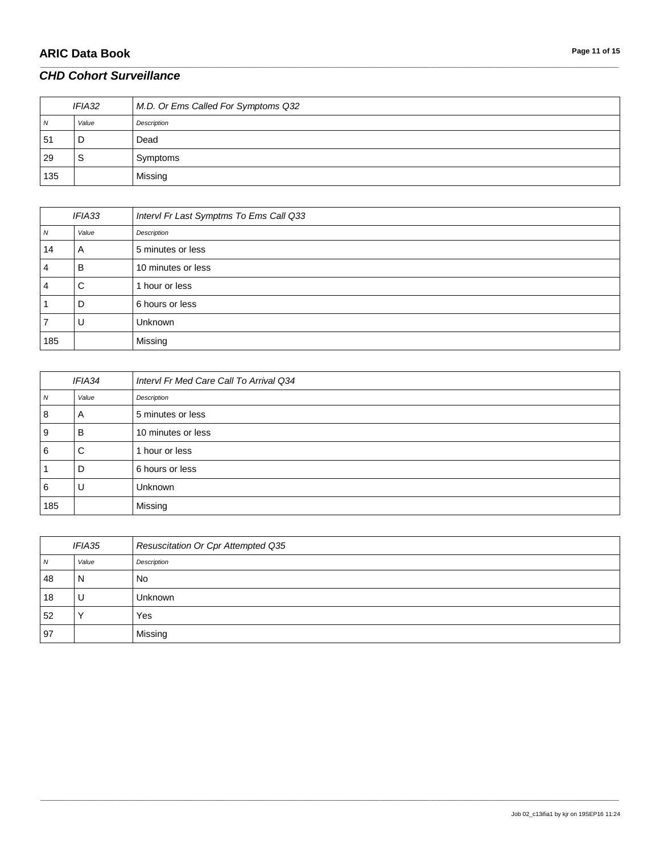# **ARIC Data Book Page 11 of 15**

### *CHD Cohort Surveillance*

| IFIA32         |       | M.D. Or Ems Called For Symptoms Q32 |
|----------------|-------|-------------------------------------|
| $\overline{N}$ | Value | Description                         |
| 51             | D     | Dead                                |
| 29             | S     | Symptoms                            |
| 135            |       | Missing                             |

\_\_\_\_\_\_\_\_\_\_\_\_\_\_\_\_\_\_\_\_\_\_\_\_\_\_\_\_\_\_\_\_\_\_\_\_\_\_\_\_\_\_\_\_\_\_\_\_\_\_\_\_\_\_\_\_\_\_\_\_\_\_\_\_\_\_\_\_\_\_\_\_\_\_\_\_\_\_\_\_\_\_\_\_\_\_\_\_\_\_\_\_\_\_\_\_\_\_\_\_\_\_\_\_\_\_\_\_\_\_\_\_\_\_\_\_\_\_\_\_\_\_\_\_\_\_\_\_\_\_\_\_\_\_\_\_\_\_\_\_\_\_\_\_\_\_\_\_\_\_\_\_\_\_\_\_\_\_\_\_\_\_\_\_\_\_\_\_\_\_\_\_\_\_\_\_\_\_\_\_\_\_\_\_\_\_\_\_\_\_\_\_\_

| IFIA33         |       | Intervl Fr Last Symptms To Ems Call Q33 |
|----------------|-------|-----------------------------------------|
| $\overline{N}$ | Value | Description                             |
| 14             | A     | 5 minutes or less                       |
| 4              | B     | 10 minutes or less                      |
| 4              | C     | 1 hour or less                          |
|                | D     | 6 hours or less                         |
|                | U     | Unknown                                 |
| 185            |       | Missing                                 |

| <b>IFIA34</b>  |       | Intervl Fr Med Care Call To Arrival Q34 |
|----------------|-------|-----------------------------------------|
| N <sub>N</sub> | Value | Description                             |
| 8              | A     | 5 minutes or less                       |
| 9              | в     | 10 minutes or less                      |
| 6              | C     | 1 hour or less                          |
|                | D     | 6 hours or less                         |
| 6              | U     | Unknown                                 |
| 185            |       | Missing                                 |

| <b>IFIA35</b> |              | Resuscitation Or Cpr Attempted Q35 |
|---------------|--------------|------------------------------------|
| <b>N</b>      | Value        | Description                        |
| 48            | N            | No                                 |
| 18            | U            | Unknown                            |
| 52            | $\checkmark$ | Yes                                |
| 97            |              | Missing                            |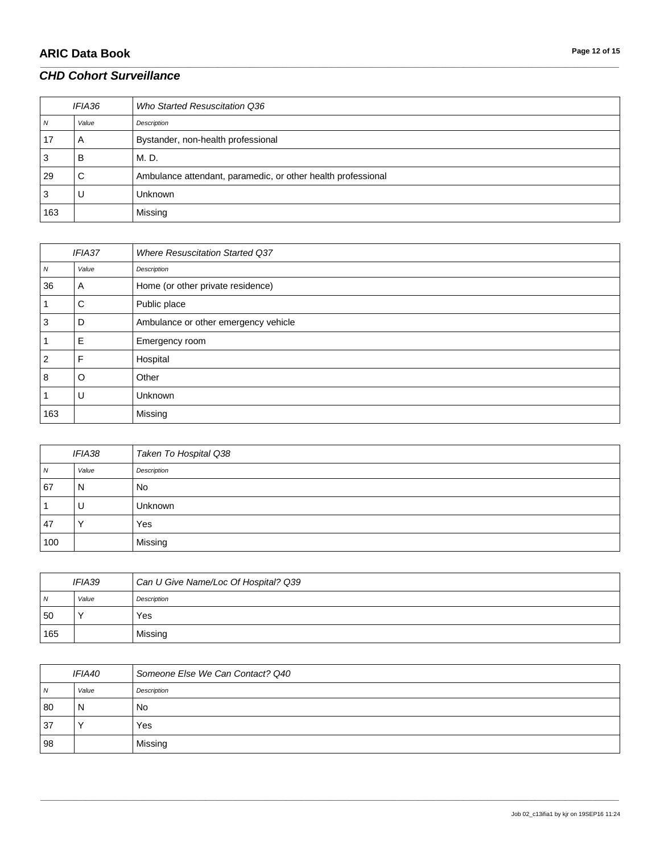# **ARIC Data Book Page 12 of 15**

### *CHD Cohort Surveillance*

| IFIA36 |       | Who Started Resuscitation Q36                                |
|--------|-------|--------------------------------------------------------------|
| ΙV     | Value | Description                                                  |
| 17     | A     | Bystander, non-health professional                           |
| ت      | В     | M. D.                                                        |
| 29     | С     | Ambulance attendant, paramedic, or other health professional |
| C      |       | <b>Unknown</b>                                               |
| 163    |       | Missing                                                      |

\_\_\_\_\_\_\_\_\_\_\_\_\_\_\_\_\_\_\_\_\_\_\_\_\_\_\_\_\_\_\_\_\_\_\_\_\_\_\_\_\_\_\_\_\_\_\_\_\_\_\_\_\_\_\_\_\_\_\_\_\_\_\_\_\_\_\_\_\_\_\_\_\_\_\_\_\_\_\_\_\_\_\_\_\_\_\_\_\_\_\_\_\_\_\_\_\_\_\_\_\_\_\_\_\_\_\_\_\_\_\_\_\_\_\_\_\_\_\_\_\_\_\_\_\_\_\_\_\_\_\_\_\_\_\_\_\_\_\_\_\_\_\_\_\_\_\_\_\_\_\_\_\_\_\_\_\_\_\_\_\_\_\_\_\_\_\_\_\_\_\_\_\_\_\_\_\_\_\_\_\_\_\_\_\_\_\_\_\_\_\_\_\_

| IFIA37 |         | <b>Where Resuscitation Started Q37</b> |
|--------|---------|----------------------------------------|
| N      | Value   | Description                            |
| 36     | A       | Home (or other private residence)      |
|        | C       | Public place                           |
| 3      | D       | Ambulance or other emergency vehicle   |
|        | E       | Emergency room                         |
| 2      | F       | Hospital                               |
| 8      | $\circ$ | Other                                  |
|        | U       | Unknown                                |
| 163    |         | Missing                                |

| <b>IFIA38</b> |       | Taken To Hospital Q38 |
|---------------|-------|-----------------------|
| N             | Value | Description           |
| 67            | N     | No.                   |
|               | U     | <b>Unknown</b>        |
| 47            |       | Yes                   |
| 100           |       | Missing               |

| <i><b>IFIA39</b></i> |       | Can U Give Name/Loc Of Hospital? Q39 |
|----------------------|-------|--------------------------------------|
| $\overline{N}$       | Value | Description                          |
| 50                   |       | Yes                                  |
| 165                  |       | Missing                              |

| <i><b>IFIA40</b></i> |       | Someone Else We Can Contact? Q40 |
|----------------------|-------|----------------------------------|
| N <sub>N</sub>       | Value | Description                      |
| 80                   | N     | No                               |
| 37                   |       | Yes                              |
| 98                   |       | Missing                          |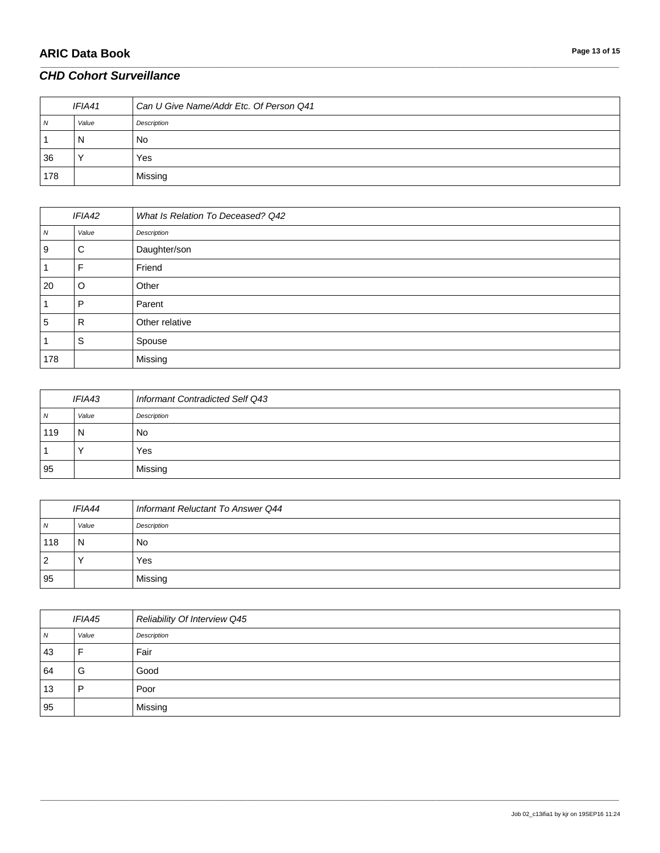# **ARIC Data Book Page 13 of 15**

#### *CHD Cohort Surveillance*

| IFIA41         |       | Can U Give Name/Addr Etc. Of Person Q41 |
|----------------|-------|-----------------------------------------|
| $\overline{N}$ | Value | Description                             |
|                | N     | No.                                     |
| 36             |       | Yes                                     |
| 178            |       | Missing                                 |

\_\_\_\_\_\_\_\_\_\_\_\_\_\_\_\_\_\_\_\_\_\_\_\_\_\_\_\_\_\_\_\_\_\_\_\_\_\_\_\_\_\_\_\_\_\_\_\_\_\_\_\_\_\_\_\_\_\_\_\_\_\_\_\_\_\_\_\_\_\_\_\_\_\_\_\_\_\_\_\_\_\_\_\_\_\_\_\_\_\_\_\_\_\_\_\_\_\_\_\_\_\_\_\_\_\_\_\_\_\_\_\_\_\_\_\_\_\_\_\_\_\_\_\_\_\_\_\_\_\_\_\_\_\_\_\_\_\_\_\_\_\_\_\_\_\_\_\_\_\_\_\_\_\_\_\_\_\_\_\_\_\_\_\_\_\_\_\_\_\_\_\_\_\_\_\_\_\_\_\_\_\_\_\_\_\_\_\_\_\_\_\_\_

| IFIA42 |       | What Is Relation To Deceased? Q42 |
|--------|-------|-----------------------------------|
| N      | Value | Description                       |
| 9      | C     | Daughter/son                      |
|        | F     | Friend                            |
| 20     | O     | Other                             |
|        | P     | Parent                            |
| 5      | R     | Other relative                    |
|        | S     | Spouse                            |
| 178    |       | Missing                           |

| IFIA43         |       | Informant Contradicted Self Q43 |
|----------------|-------|---------------------------------|
| $\overline{N}$ | Value | Description                     |
| 119            | N     | <b>No</b>                       |
|                |       | Yes                             |
| 95             |       | Missing                         |

| IFIA44         |       | Informant Reluctant To Answer Q44 |
|----------------|-------|-----------------------------------|
| $\overline{N}$ | Value | Description                       |
| 118            | N     | <b>No</b>                         |
| 2              |       | Yes                               |
| 95             |       | Missing                           |

| <b>IFIA45</b> |       | Reliability Of Interview Q45 |
|---------------|-------|------------------------------|
| N             | Value | Description                  |
| 43            | Е     | Fair                         |
| 64            | G     | Good                         |
| 13            | P     | Poor                         |
| 95            |       | Missing                      |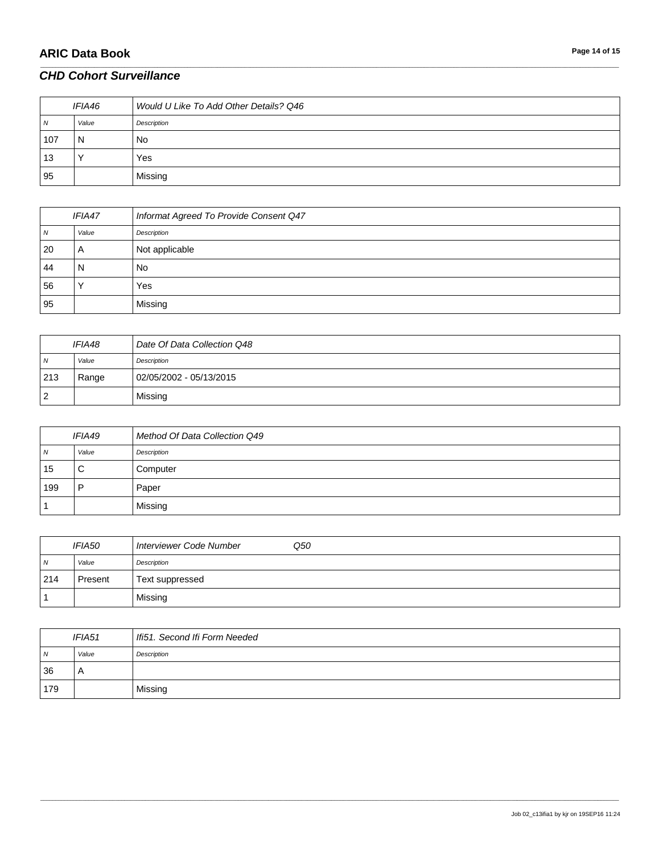# **ARIC Data Book Page 14 of 15**

### *CHD Cohort Surveillance*

| IFIA46 |       | Would U Like To Add Other Details? Q46 |
|--------|-------|----------------------------------------|
| N      | Value | Description                            |
| 107    | N     | No                                     |
| 13     |       | Yes                                    |
| 95     |       | Missing                                |

\_\_\_\_\_\_\_\_\_\_\_\_\_\_\_\_\_\_\_\_\_\_\_\_\_\_\_\_\_\_\_\_\_\_\_\_\_\_\_\_\_\_\_\_\_\_\_\_\_\_\_\_\_\_\_\_\_\_\_\_\_\_\_\_\_\_\_\_\_\_\_\_\_\_\_\_\_\_\_\_\_\_\_\_\_\_\_\_\_\_\_\_\_\_\_\_\_\_\_\_\_\_\_\_\_\_\_\_\_\_\_\_\_\_\_\_\_\_\_\_\_\_\_\_\_\_\_\_\_\_\_\_\_\_\_\_\_\_\_\_\_\_\_\_\_\_\_\_\_\_\_\_\_\_\_\_\_\_\_\_\_\_\_\_\_\_\_\_\_\_\_\_\_\_\_\_\_\_\_\_\_\_\_\_\_\_\_\_\_\_\_\_\_

| IFIA47 |       | Informat Agreed To Provide Consent Q47 |
|--------|-------|----------------------------------------|
| 7V     | Value | Description                            |
| 20     | A     | Not applicable                         |
| 44     | N     | No                                     |
| 56     |       | Yes                                    |
| 95     |       | Missing                                |

| <i><b>IFIA48</b></i> |       | Date Of Data Collection Q48 |
|----------------------|-------|-----------------------------|
| $\overline{N}$       | Value | Description                 |
| 213                  | Range | 02/05/2002 - 05/13/2015     |
| $\overline{2}$       |       | Missing                     |

| IFIA49 |       | Method Of Data Collection Q49 |
|--------|-------|-------------------------------|
| N      | Value | Description                   |
| 15     | С     | Computer                      |
| 199    | D     | Paper                         |
|        |       | Missing                       |

| <i><b>IFIA50</b></i> |         | Interviewer Code Number<br>Q50 |
|----------------------|---------|--------------------------------|
| $\overline{N}$       | Value   | Description                    |
| 214                  | Present | Text suppressed                |
|                      |         | Missing                        |

| IFIA51     |       | Ifi51. Second Ifi Form Needed |
|------------|-------|-------------------------------|
| $\sqrt{N}$ | Value | Description                   |
| 36         | A     |                               |
| 179        |       | Missing                       |